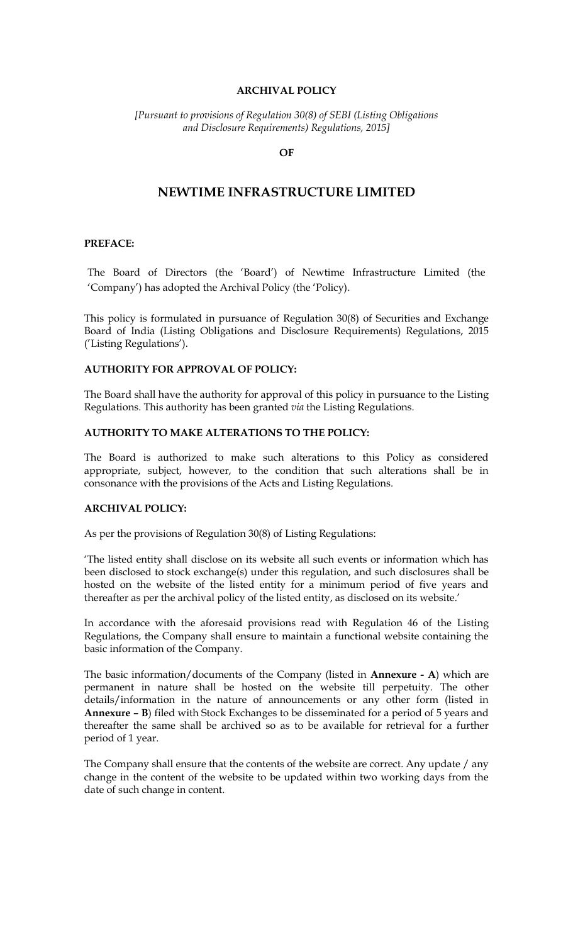#### **ARCHIVAL POLICY**

*[Pursuant to provisions of Regulation 30(8) of SEBI (Listing Obligations and Disclosure Requirements) Regulations, 2015]*

## **OF**

## **NEWTIME INFRASTRUCTURE LIMITED**

#### **PREFACE:**

The Board of Directors (the 'Board') of Newtime Infrastructure Limited (the 'Company') has adopted the Archival Policy (the 'Policy).

This policy is formulated in pursuance of Regulation 30(8) of Securities and Exchange Board of India (Listing Obligations and Disclosure Requirements) Regulations, 2015 ('Listing Regulations').

### **AUTHORITY FOR APPROVAL OF POLICY:**

The Board shall have the authority for approval of this policy in pursuance to the Listing Regulations. This authority has been granted *via* the Listing Regulations.

### **AUTHORITY TO MAKE ALTERATIONS TO THE POLICY:**

The Board is authorized to make such alterations to this Policy as considered appropriate, subject, however, to the condition that such alterations shall be in consonance with the provisions of the Acts and Listing Regulations.

#### **ARCHIVAL POLICY:**

As per the provisions of Regulation 30(8) of Listing Regulations:

'The listed entity shall disclose on its website all such events or information which has been disclosed to stock exchange(s) under this regulation, and such disclosures shall be hosted on the website of the listed entity for a minimum period of five years and thereafter as per the archival policy of the listed entity, as disclosed on its website.'

In accordance with the aforesaid provisions read with Regulation 46 of the Listing Regulations, the Company shall ensure to maintain a functional website containing the basic information of the Company.

The basic information/documents of the Company (listed in **Annexure - A**) which are permanent in nature shall be hosted on the website till perpetuity. The other details/information in the nature of announcements or any other form (listed in **Annexure – B**) filed with Stock Exchanges to be disseminated for a period of 5 years and thereafter the same shall be archived so as to be available for retrieval for a further period of 1 year.

The Company shall ensure that the contents of the website are correct. Any update / any change in the content of the website to be updated within two working days from the date of such change in content.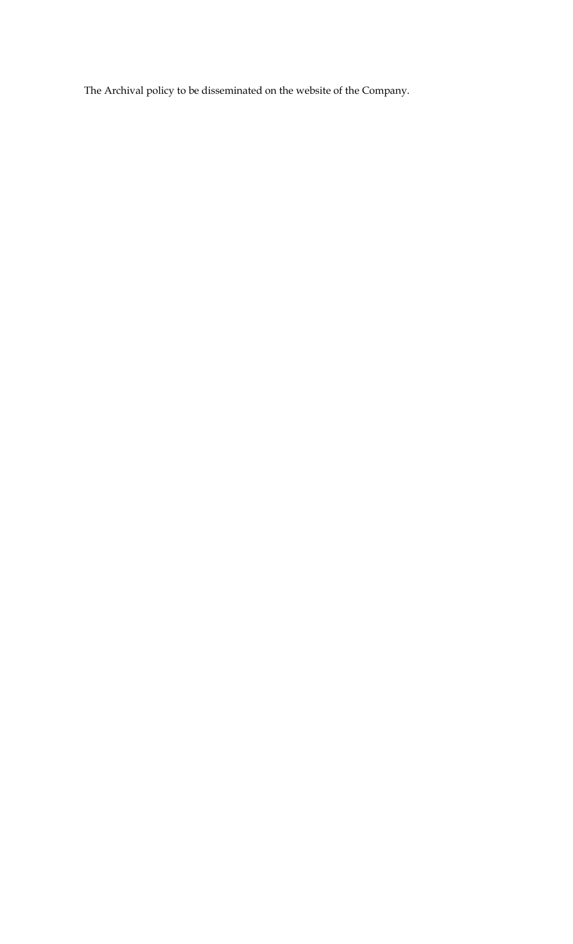The Archival policy to be disseminated on the website of the Company.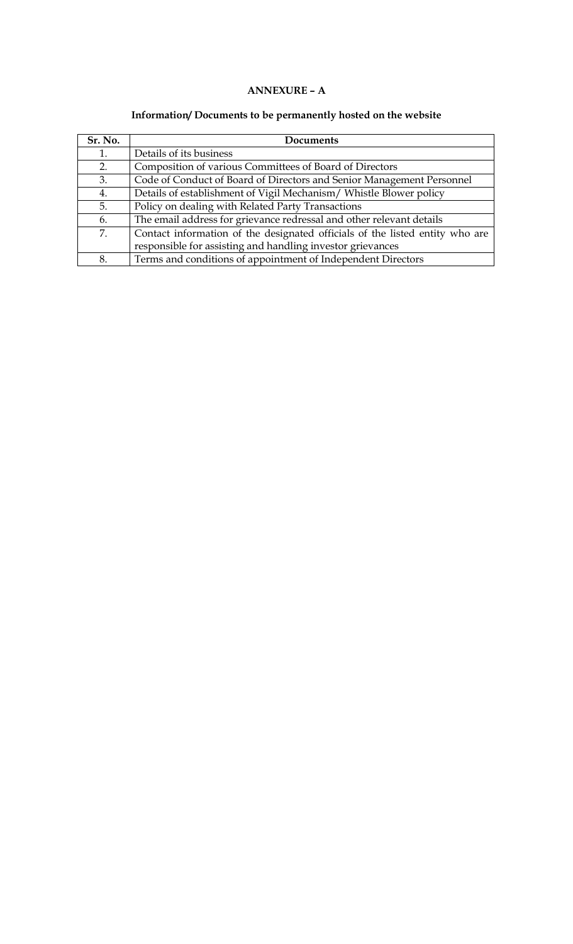# **ANNEXURE – A**

# **Information/ Documents to be permanently hosted on the website**

| Sr. No. | Documents                                                                    |
|---------|------------------------------------------------------------------------------|
| 1.      | Details of its business                                                      |
| 2.      | Composition of various Committees of Board of Directors                      |
| 3.      | Code of Conduct of Board of Directors and Senior Management Personnel        |
| 4.      | Details of establishment of Vigil Mechanism/Whistle Blower policy            |
| 5.      | Policy on dealing with Related Party Transactions                            |
| 6.      | The email address for grievance redressal and other relevant details         |
| 7.      | Contact information of the designated officials of the listed entity who are |
|         | responsible for assisting and handling investor grievances                   |
| 8.      | Terms and conditions of appointment of Independent Directors                 |